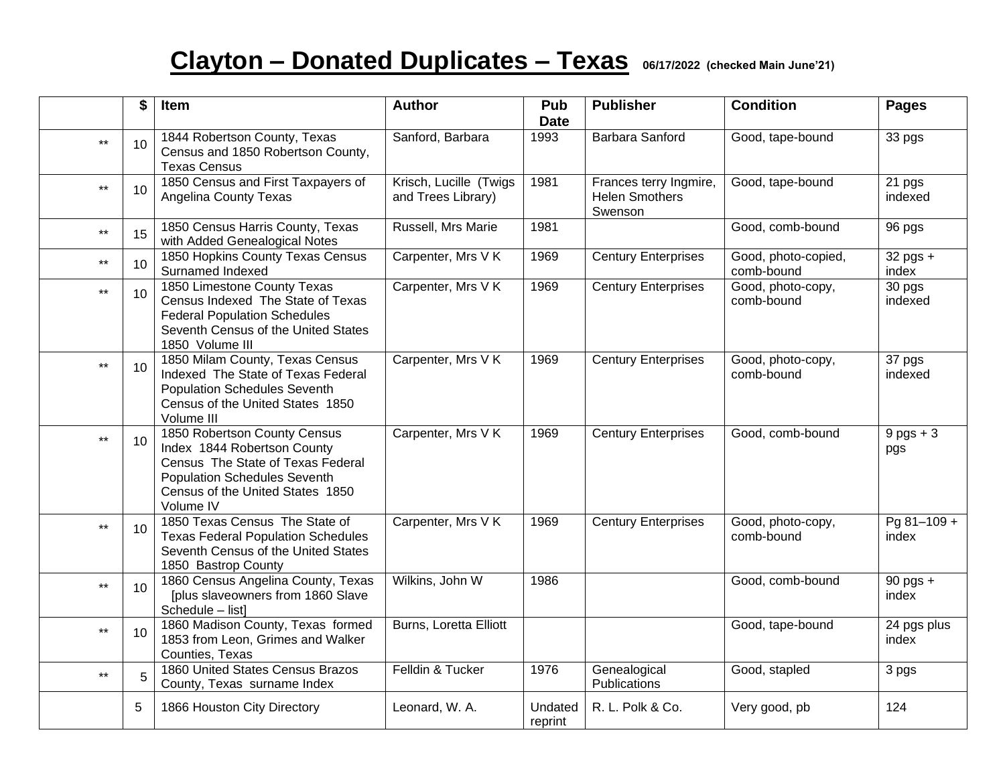## **Clayton – Donated Duplicates – Texas 06/17/2022 (checked Main June'21)**

|              | \$ | Item                                                                                                                                                                                     | <b>Author</b>                                | Pub<br><b>Date</b> | <b>Publisher</b>                                           | <b>Condition</b>                  | <b>Pages</b>         |
|--------------|----|------------------------------------------------------------------------------------------------------------------------------------------------------------------------------------------|----------------------------------------------|--------------------|------------------------------------------------------------|-----------------------------------|----------------------|
| $***$        | 10 | 1844 Robertson County, Texas<br>Census and 1850 Robertson County,<br><b>Texas Census</b>                                                                                                 | Sanford, Barbara                             | 1993               | Barbara Sanford                                            | Good, tape-bound                  | 33 pgs               |
| $\star\star$ | 10 | 1850 Census and First Taxpayers of<br><b>Angelina County Texas</b>                                                                                                                       | Krisch, Lucille (Twigs<br>and Trees Library) | 1981               | Frances terry Ingmire,<br><b>Helen Smothers</b><br>Swenson | Good, tape-bound                  | 21 pgs<br>indexed    |
| $\star\star$ | 15 | 1850 Census Harris County, Texas<br>with Added Genealogical Notes                                                                                                                        | Russell, Mrs Marie                           | 1981               |                                                            | Good, comb-bound                  | 96 pgs               |
| $\star\star$ | 10 | 1850 Hopkins County Texas Census<br>Surnamed Indexed                                                                                                                                     | Carpenter, Mrs V K                           | 1969               | <b>Century Enterprises</b>                                 | Good, photo-copied,<br>comb-bound | $32$ pgs +<br>index  |
| $\star\star$ | 10 | 1850 Limestone County Texas<br>Census Indexed The State of Texas<br><b>Federal Population Schedules</b><br>Seventh Census of the United States<br>1850 Volume III                        | Carpenter, Mrs V K                           | 1969               | <b>Century Enterprises</b>                                 | Good, photo-copy,<br>comb-bound   | 30 pgs<br>indexed    |
| $\star\star$ | 10 | 1850 Milam County, Texas Census<br>Indexed The State of Texas Federal<br><b>Population Schedules Seventh</b><br>Census of the United States 1850<br>Volume III                           | Carpenter, Mrs V K                           | 1969               | <b>Century Enterprises</b>                                 | Good, photo-copy,<br>comb-bound   | 37 pgs<br>indexed    |
| $***$        | 10 | 1850 Robertson County Census<br>Index 1844 Robertson County<br>Census The State of Texas Federal<br><b>Population Schedules Seventh</b><br>Census of the United States 1850<br>Volume IV | Carpenter, Mrs V K                           | 1969               | <b>Century Enterprises</b>                                 | Good, comb-bound                  | $9$ pgs + 3<br>pgs   |
| $***$        | 10 | 1850 Texas Census The State of<br><b>Texas Federal Population Schedules</b><br>Seventh Census of the United States<br>1850 Bastrop County                                                | Carpenter, Mrs V K                           | 1969               | <b>Century Enterprises</b>                                 | Good, photo-copy,<br>comb-bound   | Pg 81-109 +<br>index |
| $\star\star$ | 10 | 1860 Census Angelina County, Texas<br>[plus slaveowners from 1860 Slave<br>Schedule - list]                                                                                              | Wilkins, John W                              | 1986               |                                                            | Good, comb-bound                  | 90 pgs +<br>index    |
| $\star\star$ | 10 | 1860 Madison County, Texas formed<br>1853 from Leon, Grimes and Walker<br>Counties, Texas                                                                                                | Burns, Loretta Elliott                       |                    |                                                            | Good, tape-bound                  | 24 pgs plus<br>index |
| $\star\star$ | 5  | 1860 United States Census Brazos<br>County, Texas surname Index                                                                                                                          | Felldin & Tucker                             | 1976               | Genealogical<br>Publications                               | Good, stapled                     | 3 pgs                |
|              | 5  | 1866 Houston City Directory                                                                                                                                                              | Leonard, W. A.                               | Undated<br>reprint | R. L. Polk & Co.                                           | Very good, pb                     | 124                  |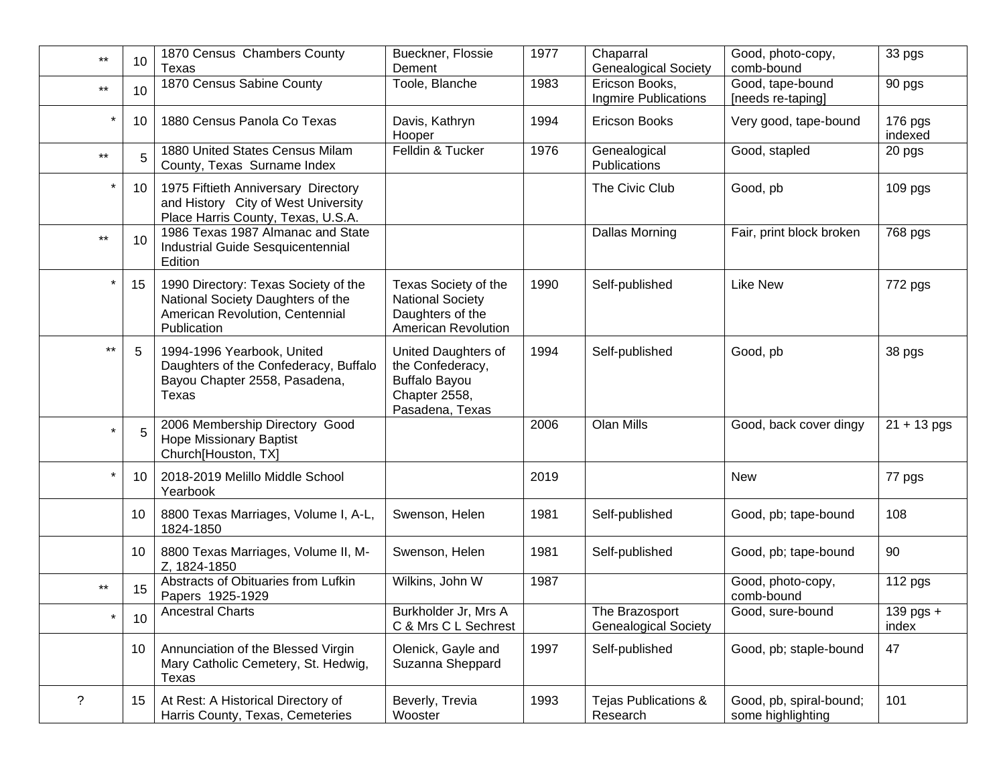| $***$        | 10 | 1870 Census Chambers County<br>Texas                                                                                        | Bueckner, Flossie<br>Dement                                                                         | 1977 | Chaparral<br><b>Genealogical Society</b>      | Good, photo-copy,<br>comb-bound              | 33 pgs               |
|--------------|----|-----------------------------------------------------------------------------------------------------------------------------|-----------------------------------------------------------------------------------------------------|------|-----------------------------------------------|----------------------------------------------|----------------------|
| $***$        | 10 | 1870 Census Sabine County                                                                                                   | Toole, Blanche                                                                                      | 1983 | Ericson Books,<br>Ingmire Publications        | Good, tape-bound<br>[needs re-taping]        | 90 pgs               |
|              | 10 | 1880 Census Panola Co Texas                                                                                                 | Davis, Kathryn<br>Hooper                                                                            | 1994 | Ericson Books                                 | Very good, tape-bound                        | 176 pgs<br>indexed   |
| $\star\star$ | 5  | 1880 United States Census Milam<br>County, Texas Surname Index                                                              | Felldin & Tucker                                                                                    | 1976 | Genealogical<br>Publications                  | Good, stapled                                | 20 pgs               |
|              | 10 | 1975 Fiftieth Anniversary Directory<br>and History City of West University<br>Place Harris County, Texas, U.S.A.            |                                                                                                     |      | The Civic Club                                | Good, pb                                     | 109 <sub>pgs</sub>   |
| $***$        | 10 | 1986 Texas 1987 Almanac and State<br>Industrial Guide Sesquicentennial<br>Edition                                           |                                                                                                     |      | <b>Dallas Morning</b>                         | Fair, print block broken                     | 768 pgs              |
|              | 15 | 1990 Directory: Texas Society of the<br>National Society Daughters of the<br>American Revolution, Centennial<br>Publication | Texas Society of the<br><b>National Society</b><br>Daughters of the<br>American Revolution          | 1990 | Self-published                                | <b>Like New</b>                              | 772 pgs              |
| $***$        | 5  | 1994-1996 Yearbook, United<br>Daughters of the Confederacy, Buffalo<br>Bayou Chapter 2558, Pasadena,<br>Texas               | United Daughters of<br>the Confederacy,<br><b>Buffalo Bayou</b><br>Chapter 2558,<br>Pasadena, Texas | 1994 | Self-published                                | Good, pb                                     | 38 pgs               |
| $\star$      | 5  | 2006 Membership Directory Good<br><b>Hope Missionary Baptist</b><br>Church[Houston, TX]                                     |                                                                                                     | 2006 | Olan Mills                                    | Good, back cover dingy                       | $\sqrt{21}$ + 13 pgs |
|              | 10 | 2018-2019 Melillo Middle School<br>Yearbook                                                                                 |                                                                                                     | 2019 |                                               | <b>New</b>                                   | 77 pgs               |
|              | 10 | 8800 Texas Marriages, Volume I, A-L,<br>1824-1850                                                                           | Swenson, Helen                                                                                      | 1981 | Self-published                                | Good, pb; tape-bound                         | 108                  |
|              | 10 | 8800 Texas Marriages, Volume II, M-<br>Z, 1824-1850                                                                         | Swenson, Helen                                                                                      | 1981 | Self-published                                | Good, pb; tape-bound                         | 90                   |
| $***$        | 15 | Abstracts of Obituaries from Lufkin<br>Papers 1925-1929                                                                     | Wilkins, John W                                                                                     | 1987 |                                               | Good, photo-copy,<br>comb-bound              | 112 pgs              |
|              | 10 | <b>Ancestral Charts</b>                                                                                                     | Burkholder Jr. Mrs A<br>C & Mrs C L Sechrest                                                        |      | The Brazosport<br><b>Genealogical Society</b> | Good, sure-bound                             | 139 pgs +<br>index   |
|              | 10 | Annunciation of the Blessed Virgin<br>Mary Catholic Cemetery, St. Hedwig,<br>Texas                                          | Olenick, Gayle and<br>Suzanna Sheppard                                                              | 1997 | Self-published                                | Good, pb; staple-bound                       | 47                   |
| ?            | 15 | At Rest: A Historical Directory of<br>Harris County, Texas, Cemeteries                                                      | Beverly, Trevia<br>Wooster                                                                          | 1993 | Tejas Publications &<br>Research              | Good, pb, spiral-bound;<br>some highlighting | 101                  |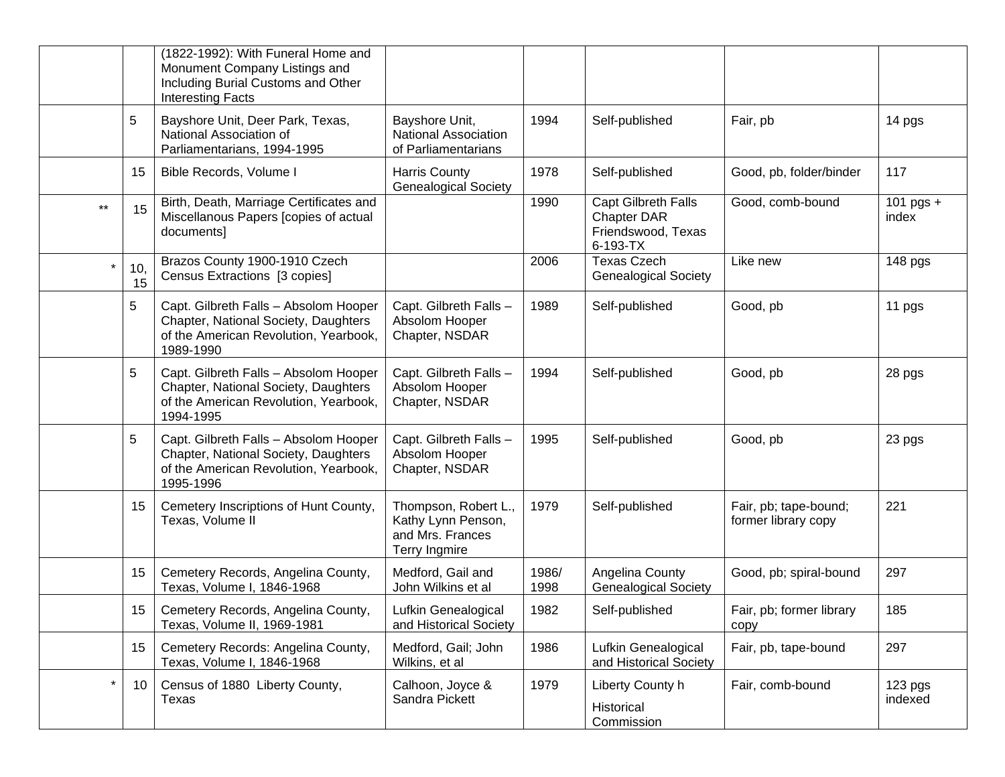|         |           | (1822-1992): With Funeral Home and<br>Monument Company Listings and<br>Including Burial Customs and Other<br><b>Interesting Facts</b> |                                                                                 |               |                                                                      |                                              |                      |
|---------|-----------|---------------------------------------------------------------------------------------------------------------------------------------|---------------------------------------------------------------------------------|---------------|----------------------------------------------------------------------|----------------------------------------------|----------------------|
|         | 5         | Bayshore Unit, Deer Park, Texas,<br>National Association of<br>Parliamentarians, 1994-1995                                            | Bayshore Unit,<br><b>National Association</b><br>of Parliamentarians            | 1994          | Self-published                                                       | Fair, pb                                     | 14 pgs               |
|         | 15        | Bible Records, Volume I                                                                                                               | <b>Harris County</b><br><b>Genealogical Society</b>                             | 1978          | Self-published                                                       | Good, pb, folder/binder                      | 117                  |
| $***$   | 15        | Birth, Death, Marriage Certificates and<br>Miscellanous Papers [copies of actual<br>documents]                                        |                                                                                 | 1990          | Capt Gilbreth Falls<br>Chapter DAR<br>Friendswood, Texas<br>6-193-TX | Good, comb-bound                             | 101 pgs $+$<br>index |
|         | 10,<br>15 | Brazos County 1900-1910 Czech<br>Census Extractions [3 copies]                                                                        |                                                                                 | 2006          | <b>Texas Czech</b><br><b>Genealogical Society</b>                    | Like new                                     | 148 pgs              |
|         | 5         | Capt. Gilbreth Falls - Absolom Hooper<br>Chapter, National Society, Daughters<br>of the American Revolution, Yearbook,<br>1989-1990   | Capt. Gilbreth Falls-<br>Absolom Hooper<br>Chapter, NSDAR                       | 1989          | Self-published                                                       | Good, pb                                     | 11 pgs               |
|         | 5         | Capt. Gilbreth Falls - Absolom Hooper<br>Chapter, National Society, Daughters<br>of the American Revolution, Yearbook,<br>1994-1995   | Capt. Gilbreth Falls-<br>Absolom Hooper<br>Chapter, NSDAR                       | 1994          | Self-published                                                       | Good, pb                                     | 28 pgs               |
|         | 5         | Capt. Gilbreth Falls - Absolom Hooper<br>Chapter, National Society, Daughters<br>of the American Revolution, Yearbook,<br>1995-1996   | Capt. Gilbreth Falls-<br>Absolom Hooper<br>Chapter, NSDAR                       | 1995          | Self-published                                                       | Good, pb                                     | 23 pgs               |
|         | 15        | Cemetery Inscriptions of Hunt County,<br>Texas, Volume II                                                                             | Thompson, Robert L.,<br>Kathy Lynn Penson,<br>and Mrs. Frances<br>Terry Ingmire | 1979          | Self-published                                                       | Fair, pb; tape-bound;<br>former library copy | 221                  |
|         | 15        | Cemetery Records, Angelina County,<br>Texas, Volume I, 1846-1968                                                                      | Medford, Gail and<br>John Wilkins et al                                         | 1986/<br>1998 | Angelina County<br><b>Genealogical Society</b>                       | Good, pb; spiral-bound                       | 297                  |
|         | 15        | Cemetery Records, Angelina County,<br>Texas, Volume II, 1969-1981                                                                     | Lufkin Genealogical<br>and Historical Society                                   | 1982          | Self-published                                                       | Fair, pb; former library<br>copy             | 185                  |
|         | 15        | Cemetery Records: Angelina County,<br>Texas, Volume I, 1846-1968                                                                      | Medford, Gail; John<br>Wilkins, et al                                           | 1986          | Lufkin Genealogical<br>and Historical Society                        | Fair, pb, tape-bound                         | 297                  |
| $\star$ | 10        | Census of 1880 Liberty County,<br>Texas                                                                                               | Calhoon, Joyce &<br>Sandra Pickett                                              | 1979          | Liberty County h<br>Historical<br>Commission                         | Fair, comb-bound                             | 123 pgs<br>indexed   |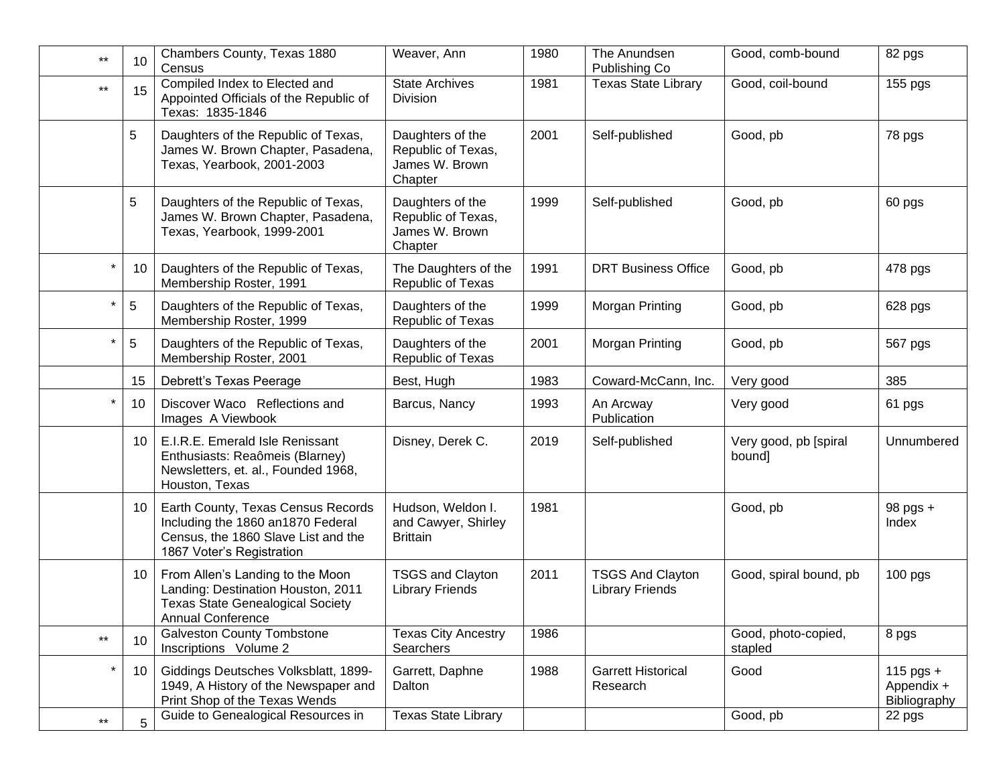| $***$        | 10             | Chambers County, Texas 1880<br>Census                                                                                                         | Weaver, Ann                                                         | 1980 | The Anundsen<br>Publishing Co                     | Good, comb-bound                | 82 pgs                                    |
|--------------|----------------|-----------------------------------------------------------------------------------------------------------------------------------------------|---------------------------------------------------------------------|------|---------------------------------------------------|---------------------------------|-------------------------------------------|
| $***$        | 15             | Compiled Index to Elected and<br>Appointed Officials of the Republic of<br>Texas: 1835-1846                                                   | <b>State Archives</b><br>Division                                   | 1981 | <b>Texas State Library</b>                        | Good, coil-bound                | 155 pgs                                   |
|              | 5              | Daughters of the Republic of Texas,<br>James W. Brown Chapter, Pasadena,<br>Texas, Yearbook, 2001-2003                                        | Daughters of the<br>Republic of Texas,<br>James W. Brown<br>Chapter | 2001 | Self-published                                    | Good, pb                        | 78 pgs                                    |
|              | 5              | Daughters of the Republic of Texas,<br>James W. Brown Chapter, Pasadena,<br>Texas, Yearbook, 1999-2001                                        | Daughters of the<br>Republic of Texas,<br>James W. Brown<br>Chapter | 1999 | Self-published                                    | Good, pb                        | 60 pgs                                    |
|              | 10             | Daughters of the Republic of Texas,<br>Membership Roster, 1991                                                                                | The Daughters of the<br>Republic of Texas                           | 1991 | <b>DRT Business Office</b>                        | Good, pb                        | 478 pgs                                   |
|              | 5              | Daughters of the Republic of Texas,<br>Membership Roster, 1999                                                                                | Daughters of the<br>Republic of Texas                               | 1999 | Morgan Printing                                   | Good, pb                        | 628 pgs                                   |
| $\star$      | 5              | Daughters of the Republic of Texas,<br>Membership Roster, 2001                                                                                | Daughters of the<br>Republic of Texas                               | 2001 | Morgan Printing                                   | Good, pb                        | 567 pgs                                   |
|              | 15             | Debrett's Texas Peerage                                                                                                                       | Best, Hugh                                                          | 1983 | Coward-McCann, Inc.                               | Very good                       | 385                                       |
| *            | 10             | Discover Waco Reflections and<br>Images A Viewbook                                                                                            | Barcus, Nancy                                                       | 1993 | An Arcway<br>Publication                          | Very good                       | 61 pgs                                    |
|              | 10             | E.I.R.E. Emerald Isle Renissant<br>Enthusiasts: Reaômeis (Blarney)<br>Newsletters, et. al., Founded 1968,<br>Houston, Texas                   | Disney, Derek C.                                                    | 2019 | Self-published                                    | Very good, pb [spiral<br>bound] | Unnumbered                                |
|              | 10             | Earth County, Texas Census Records<br>Including the 1860 an1870 Federal<br>Census, the 1860 Slave List and the<br>1867 Voter's Registration   | Hudson, Weldon I.<br>and Cawyer, Shirley<br><b>Brittain</b>         | 1981 |                                                   | Good, pb                        | 98 pgs +<br>Index                         |
|              | 10             | From Allen's Landing to the Moon<br>Landing: Destination Houston, 2011<br><b>Texas State Genealogical Society</b><br><b>Annual Conference</b> | <b>TSGS and Clayton</b><br><b>Library Friends</b>                   | 2011 | <b>TSGS And Clayton</b><br><b>Library Friends</b> | Good, spiral bound, pb          | $100$ pgs                                 |
| $***$        | 10             | <b>Galveston County Tombstone</b><br>Inscriptions Volume 2                                                                                    | <b>Texas City Ancestry</b><br>Searchers                             | 1986 |                                                   | Good, photo-copied,<br>stapled  | 8 pgs                                     |
| $^\star$     | 10             | Giddings Deutsches Volksblatt, 1899-<br>1949, A History of the Newspaper and<br>Print Shop of the Texas Wends                                 | Garrett, Daphne<br>Dalton                                           | 1988 | <b>Garrett Historical</b><br>Research             | Good                            | $115$ pgs +<br>Appendix +<br>Bibliography |
| $\star\star$ | $\overline{5}$ | Guide to Genealogical Resources in                                                                                                            | <b>Texas State Library</b>                                          |      |                                                   | Good, pb                        | 22 pgs                                    |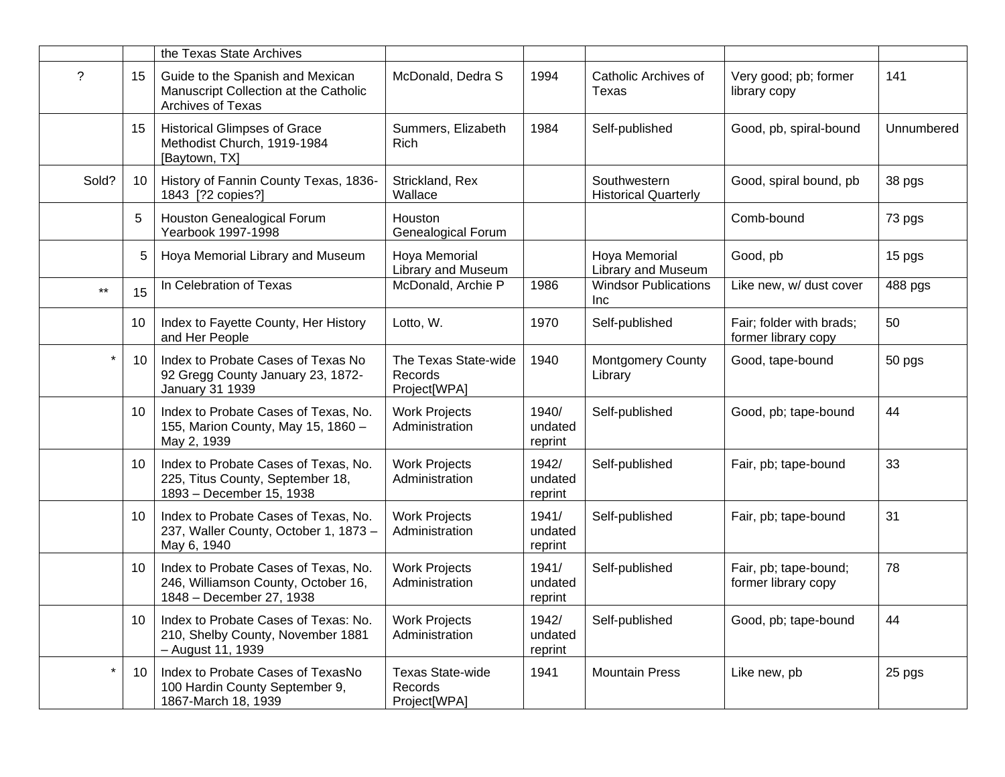|                          |                 | the Texas State Archives                                                                                |                                                    |                             |                                             |                                                 |            |
|--------------------------|-----------------|---------------------------------------------------------------------------------------------------------|----------------------------------------------------|-----------------------------|---------------------------------------------|-------------------------------------------------|------------|
| $\overline{\phantom{0}}$ | 15              | Guide to the Spanish and Mexican<br>Manuscript Collection at the Catholic<br>Archives of Texas          | McDonald, Dedra S                                  | 1994                        | Catholic Archives of<br>Texas               | Very good; pb; former<br>library copy           | 141        |
|                          | 15              | <b>Historical Glimpses of Grace</b><br>Methodist Church, 1919-1984<br>[Baytown, TX]                     | Summers, Elizabeth<br>Rich                         | 1984                        | Self-published                              | Good, pb, spiral-bound                          | Unnumbered |
| Sold?                    | 10              | History of Fannin County Texas, 1836-<br>1843 [?2 copies?]                                              | Strickland, Rex<br>Wallace                         |                             | Southwestern<br><b>Historical Quarterly</b> | Good, spiral bound, pb                          | 38 pgs     |
|                          | 5               | Houston Genealogical Forum<br>Yearbook 1997-1998                                                        | Houston<br><b>Genealogical Forum</b>               |                             |                                             | Comb-bound                                      | 73 pgs     |
|                          | 5               | Hoya Memorial Library and Museum                                                                        | Hoya Memorial<br>Library and Museum                |                             | Hoya Memorial<br>Library and Museum         | Good, pb                                        | 15 pgs     |
| $***$                    | 15              | In Celebration of Texas                                                                                 | McDonald, Archie P                                 | 1986                        | <b>Windsor Publications</b><br>Inc          | Like new, w/ dust cover                         | 488 pgs    |
|                          | 10 <sup>°</sup> | Index to Fayette County, Her History<br>and Her People                                                  | Lotto, W.                                          | 1970                        | Self-published                              | Fair; folder with brads;<br>former library copy | 50         |
|                          | 10              | Index to Probate Cases of Texas No<br>92 Gregg County January 23, 1872-<br><b>January 31 1939</b>       | The Texas State-wide<br>Records<br>Project[WPA]    | 1940                        | <b>Montgomery County</b><br>Library         | Good, tape-bound                                | 50 pgs     |
|                          | 10 <sup>°</sup> | Index to Probate Cases of Texas, No.<br>155, Marion County, May 15, 1860 -<br>May 2, 1939               | <b>Work Projects</b><br>Administration             | 1940/<br>undated<br>reprint | Self-published                              | Good, pb; tape-bound                            | 44         |
|                          | 10              | Index to Probate Cases of Texas, No.<br>225, Titus County, September 18,<br>1893 - December 15, 1938    | <b>Work Projects</b><br>Administration             | 1942/<br>undated<br>reprint | Self-published                              | Fair, pb; tape-bound                            | 33         |
|                          | 10 <sup>°</sup> | Index to Probate Cases of Texas, No.<br>237, Waller County, October 1, 1873 -<br>May 6, 1940            | <b>Work Projects</b><br>Administration             | 1941/<br>undated<br>reprint | Self-published                              | Fair, pb; tape-bound                            | 31         |
|                          | 10              | Index to Probate Cases of Texas, No.<br>246, Williamson County, October 16,<br>1848 - December 27, 1938 | <b>Work Projects</b><br>Administration             | 1941/<br>undated<br>reprint | Self-published                              | Fair, pb; tape-bound;<br>former library copy    | 78         |
|                          | 10              | Index to Probate Cases of Texas: No.<br>210, Shelby County, November 1881<br>- August 11, 1939          | <b>Work Projects</b><br>Administration             | 1942/<br>undated<br>reprint | Self-published                              | Good, pb; tape-bound                            | 44         |
|                          | 10              | Index to Probate Cases of TexasNo<br>100 Hardin County September 9,<br>1867-March 18, 1939              | <b>Texas State-wide</b><br>Records<br>Project[WPA] | 1941                        | <b>Mountain Press</b>                       | Like new, pb                                    | 25 pgs     |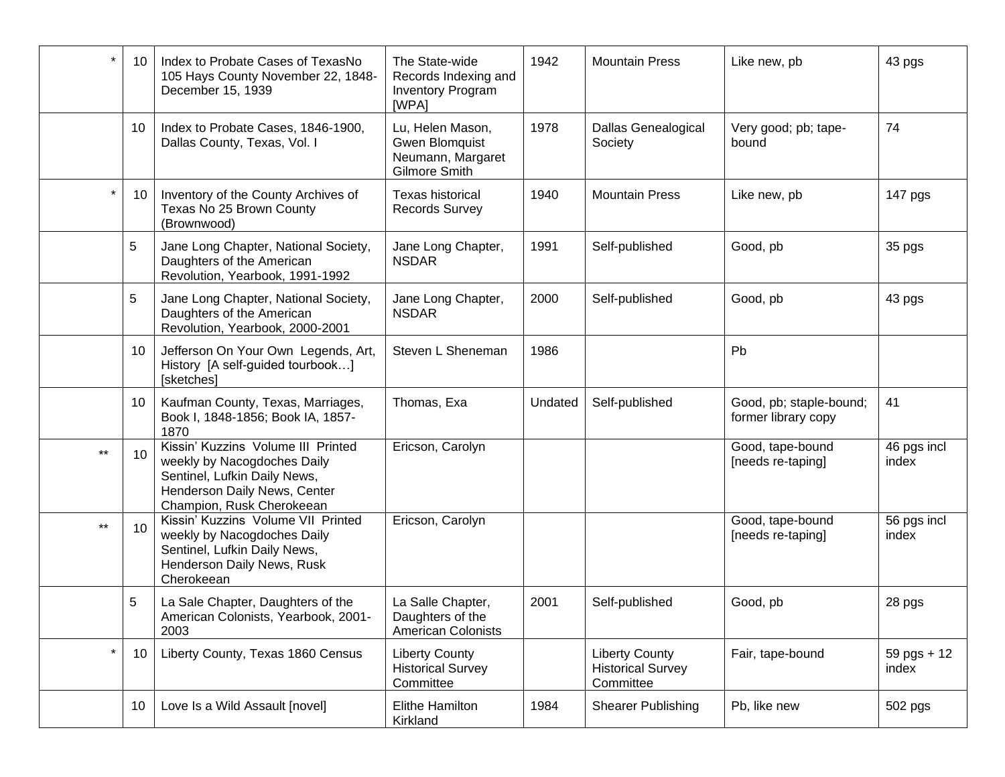|              | 10 | Index to Probate Cases of TexasNo<br>105 Hays County November 22, 1848-<br>December 15, 1939                                                                   | The State-wide<br>Records Indexing and<br><b>Inventory Program</b><br>[WPA]            | 1942    | <b>Mountain Press</b>                                          | Like new, pb                                   | 43 pgs                 |
|--------------|----|----------------------------------------------------------------------------------------------------------------------------------------------------------------|----------------------------------------------------------------------------------------|---------|----------------------------------------------------------------|------------------------------------------------|------------------------|
|              | 10 | Index to Probate Cases, 1846-1900,<br>Dallas County, Texas, Vol. I                                                                                             | Lu, Helen Mason,<br><b>Gwen Blomquist</b><br>Neumann, Margaret<br><b>Gilmore Smith</b> | 1978    | Dallas Genealogical<br>Society                                 | Very good; pb; tape-<br>bound                  | 74                     |
|              | 10 | Inventory of the County Archives of<br>Texas No 25 Brown County<br>(Brownwood)                                                                                 | <b>Texas historical</b><br><b>Records Survey</b>                                       | 1940    | <b>Mountain Press</b>                                          | Like new, pb                                   | 147 pgs                |
|              | 5  | Jane Long Chapter, National Society,<br>Daughters of the American<br>Revolution, Yearbook, 1991-1992                                                           | Jane Long Chapter,<br><b>NSDAR</b>                                                     | 1991    | Self-published                                                 | Good, pb                                       | 35 pgs                 |
|              | 5  | Jane Long Chapter, National Society,<br>Daughters of the American<br>Revolution, Yearbook, 2000-2001                                                           | Jane Long Chapter,<br><b>NSDAR</b>                                                     | 2000    | Self-published                                                 | Good, pb                                       | 43 pgs                 |
|              | 10 | Jefferson On Your Own Legends, Art,<br>History [A self-guided tourbook]<br>[sketches]                                                                          | Steven L Sheneman                                                                      | 1986    |                                                                | Pb                                             |                        |
|              | 10 | Kaufman County, Texas, Marriages,<br>Book I, 1848-1856; Book IA, 1857-<br>1870                                                                                 | Thomas, Exa                                                                            | Undated | Self-published                                                 | Good, pb; staple-bound;<br>former library copy | 41                     |
| $\star\star$ | 10 | Kissin' Kuzzins Volume III Printed<br>weekly by Nacogdoches Daily<br>Sentinel, Lufkin Daily News,<br>Henderson Daily News, Center<br>Champion, Rusk Cherokeean | Ericson, Carolyn                                                                       |         |                                                                | Good, tape-bound<br>[needs re-taping]          | 46 pgs incl<br>index   |
| $***$        | 10 | Kissin' Kuzzins Volume VII Printed<br>weekly by Nacogdoches Daily<br>Sentinel, Lufkin Daily News,<br>Henderson Daily News, Rusk<br>Cherokeean                  | Ericson, Carolyn                                                                       |         |                                                                | Good, tape-bound<br>[needs re-taping]          | 56 pgs incl<br>index   |
|              | 5  | La Sale Chapter, Daughters of the<br>American Colonists, Yearbook, 2001-<br>2003                                                                               | La Salle Chapter,<br>Daughters of the<br><b>American Colonists</b>                     | 2001    | Self-published                                                 | Good, pb                                       | 28 pgs                 |
| $\star$      | 10 | Liberty County, Texas 1860 Census                                                                                                                              | <b>Liberty County</b><br><b>Historical Survey</b><br>Committee                         |         | <b>Liberty County</b><br><b>Historical Survey</b><br>Committee | Fair, tape-bound                               | $59$ pgs + 12<br>index |
|              | 10 | Love Is a Wild Assault [novel]                                                                                                                                 | Elithe Hamilton<br>Kirkland                                                            | 1984    | <b>Shearer Publishing</b>                                      | Pb, like new                                   | 502 pgs                |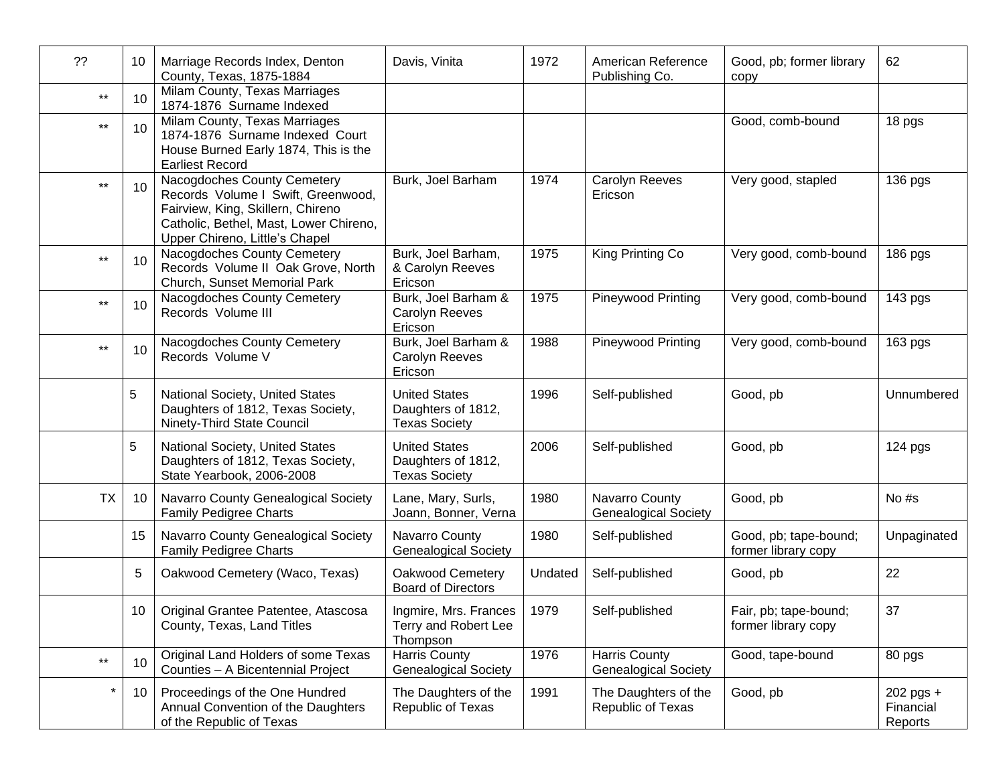| ??           | 10             | Marriage Records Index, Denton<br>County, Texas, 1875-1884                                                                                                                         | Davis, Vinita                                                      | 1972    | American Reference<br>Publishing Co.                | Good, pb; former library<br>copy             | 62                                |
|--------------|----------------|------------------------------------------------------------------------------------------------------------------------------------------------------------------------------------|--------------------------------------------------------------------|---------|-----------------------------------------------------|----------------------------------------------|-----------------------------------|
| $\star\star$ | 10             | Milam County, Texas Marriages<br>1874-1876 Surname Indexed                                                                                                                         |                                                                    |         |                                                     |                                              |                                   |
| $\star\star$ | 10             | Milam County, Texas Marriages<br>1874-1876 Surname Indexed Court<br>House Burned Early 1874, This is the<br><b>Earliest Record</b>                                                 |                                                                    |         |                                                     | Good, comb-bound                             | 18 pgs                            |
| $***$        | 10             | Nacogdoches County Cemetery<br>Records Volume I Swift, Greenwood,<br>Fairview, King, Skillern, Chireno<br>Catholic, Bethel, Mast, Lower Chireno,<br>Upper Chireno, Little's Chapel | Burk, Joel Barham                                                  | 1974    | Carolyn Reeves<br>Ericson                           | Very good, stapled                           | 136 pgs                           |
| $***$        | 10             | Nacogdoches County Cemetery<br>Records Volume II Oak Grove, North<br>Church, Sunset Memorial Park                                                                                  | Burk, Joel Barham,<br>& Carolyn Reeves<br>Ericson                  | 1975    | King Printing Co                                    | Very good, comb-bound                        | 186 pgs                           |
| $***$        | 10             | Nacogdoches County Cemetery<br>Records Volume III                                                                                                                                  | Burk, Joel Barham &<br>Carolyn Reeves<br>Ericson                   | 1975    | Pineywood Printing                                  | Very good, comb-bound                        | 143 pgs                           |
| $\star\star$ | 10             | Nacogdoches County Cemetery<br>Records Volume V                                                                                                                                    | Burk, Joel Barham &<br>Carolyn Reeves<br>Ericson                   | 1988    | Pineywood Printing                                  | Very good, comb-bound                        | 163 pgs                           |
|              | $\overline{5}$ | National Society, United States<br>Daughters of 1812, Texas Society,<br>Ninety-Third State Council                                                                                 | <b>United States</b><br>Daughters of 1812,<br><b>Texas Society</b> | 1996    | Self-published                                      | Good, pb                                     | Unnumbered                        |
|              | 5              | National Society, United States<br>Daughters of 1812, Texas Society,<br>State Yearbook, 2006-2008                                                                                  | <b>United States</b><br>Daughters of 1812,<br><b>Texas Society</b> | 2006    | Self-published                                      | Good, pb                                     | 124 pgs                           |
| <b>TX</b>    | 10             | Navarro County Genealogical Society<br><b>Family Pedigree Charts</b>                                                                                                               | Lane, Mary, Surls,<br>Joann, Bonner, Verna                         | 1980    | Navarro County<br><b>Genealogical Society</b>       | Good, pb                                     | No #s                             |
|              | 15             | Navarro County Genealogical Society<br><b>Family Pedigree Charts</b>                                                                                                               | Navarro County<br><b>Genealogical Society</b>                      | 1980    | Self-published                                      | Good, pb; tape-bound;<br>former library copy | Unpaginated                       |
|              | 5              | Oakwood Cemetery (Waco, Texas)                                                                                                                                                     | Oakwood Cemetery<br><b>Board of Directors</b>                      | Undated | Self-published                                      | Good, pb                                     | 22                                |
|              | $10-1$         | Original Grantee Patentee, Atascosa<br>County, Texas, Land Titles                                                                                                                  | Ingmire, Mrs. Frances<br>Terry and Robert Lee<br>Thompson          | 1979    | Self-published                                      | Fair, pb; tape-bound;<br>former library copy | 37                                |
| $\star\star$ | 10             | Original Land Holders of some Texas<br>Counties - A Bicentennial Project                                                                                                           | <b>Harris County</b><br><b>Genealogical Society</b>                | 1976    | <b>Harris County</b><br><b>Genealogical Society</b> | Good, tape-bound                             | 80 pgs                            |
|              | 10             | Proceedings of the One Hundred<br>Annual Convention of the Daughters<br>of the Republic of Texas                                                                                   | The Daughters of the<br>Republic of Texas                          | 1991    | The Daughters of the<br>Republic of Texas           | Good, pb                                     | 202 pgs +<br>Financial<br>Reports |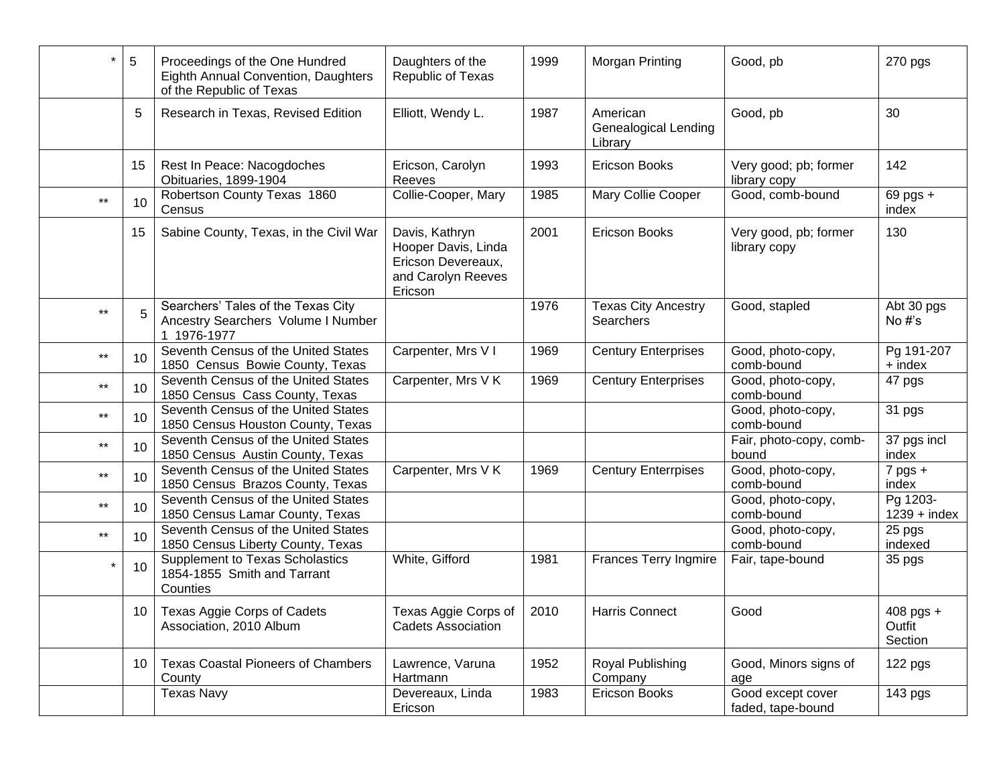|              | 5  | Proceedings of the One Hundred<br>Eighth Annual Convention, Daughters<br>of the Republic of Texas | Daughters of the<br>Republic of Texas                                                        | 1999 | Morgan Printing                                    | Good, pb                               | 270 pgs                        |
|--------------|----|---------------------------------------------------------------------------------------------------|----------------------------------------------------------------------------------------------|------|----------------------------------------------------|----------------------------------------|--------------------------------|
|              | 5  | Research in Texas, Revised Edition                                                                | Elliott, Wendy L.                                                                            | 1987 | American<br><b>Genealogical Lending</b><br>Library | Good, pb                               | 30                             |
|              | 15 | Rest In Peace: Nacogdoches<br>Obituaries, 1899-1904                                               | Ericson, Carolyn<br>Reeves                                                                   | 1993 | <b>Ericson Books</b>                               | Very good; pb; former<br>library copy  | 142                            |
| $***$        | 10 | Robertson County Texas 1860<br>Census                                                             | Collie-Cooper, Mary                                                                          | 1985 | Mary Collie Cooper                                 | Good, comb-bound                       | $69$ pgs $+$<br>index          |
|              | 15 | Sabine County, Texas, in the Civil War                                                            | Davis, Kathryn<br>Hooper Davis, Linda<br>Ericson Devereaux,<br>and Carolyn Reeves<br>Ericson | 2001 | <b>Ericson Books</b>                               | Very good, pb; former<br>library copy  | 130                            |
| $***$        | 5  | Searchers' Tales of the Texas City<br>Ancestry Searchers Volume I Number<br>1 1976-1977           |                                                                                              | 1976 | <b>Texas City Ancestry</b><br>Searchers            | Good, stapled                          | Abt 30 pgs<br>No $#s$          |
| $***$        | 10 | Seventh Census of the United States<br>1850 Census Bowie County, Texas                            | Carpenter, Mrs V I                                                                           | 1969 | <b>Century Enterprises</b>                         | Good, photo-copy,<br>comb-bound        | Pg 191-207<br>+ index          |
| $***$        | 10 | Seventh Census of the United States<br>1850 Census Cass County, Texas                             | Carpenter, Mrs V K                                                                           | 1969 | <b>Century Enterprises</b>                         | Good, photo-copy,<br>comb-bound        | 47 pgs                         |
| $\star\star$ | 10 | Seventh Census of the United States<br>1850 Census Houston County, Texas                          |                                                                                              |      |                                                    | Good, photo-copy,<br>comb-bound        | 31 pgs                         |
| $\star\star$ | 10 | Seventh Census of the United States<br>1850 Census Austin County, Texas                           |                                                                                              |      |                                                    | Fair, photo-copy, comb-<br>bound       | 37 pgs incl<br>index           |
| $***$        | 10 | Seventh Census of the United States<br>1850 Census Brazos County, Texas                           | Carpenter, Mrs V K                                                                           | 1969 | <b>Century Enterrpises</b>                         | Good, photo-copy,<br>comb-bound        | $7$ pgs +<br>index             |
| $\star\star$ | 10 | Seventh Census of the United States<br>1850 Census Lamar County, Texas                            |                                                                                              |      |                                                    | Good, photo-copy,<br>comb-bound        | Pg 1203-<br>$1239 + index$     |
| $\star\star$ | 10 | Seventh Census of the United States<br>1850 Census Liberty County, Texas                          |                                                                                              |      |                                                    | Good, photo-copy,<br>comb-bound        | 25 pgs<br>indexed              |
|              | 10 | <b>Supplement to Texas Scholastics</b><br>1854-1855 Smith and Tarrant<br>Counties                 | White, Gifford                                                                               | 1981 | <b>Frances Terry Ingmire</b>                       | Fair, tape-bound                       | 35 pgs                         |
|              |    | 10   Texas Aggie Corps of Cadets<br>Association, 2010 Album                                       | Texas Aggie Corps of   2010<br><b>Cadets Association</b>                                     |      | Harris Connect                                     | Good                                   | 408 pgs +<br>Outfit<br>Section |
|              | 10 | <b>Texas Coastal Pioneers of Chambers</b><br>County                                               | Lawrence, Varuna<br>Hartmann                                                                 | 1952 | Royal Publishing<br>Company                        | Good, Minors signs of<br>age           | 122 pgs                        |
|              |    | Texas Navy                                                                                        | Devereaux, Linda<br>Ericson                                                                  | 1983 | Ericson Books                                      | Good except cover<br>faded, tape-bound | 143 pgs                        |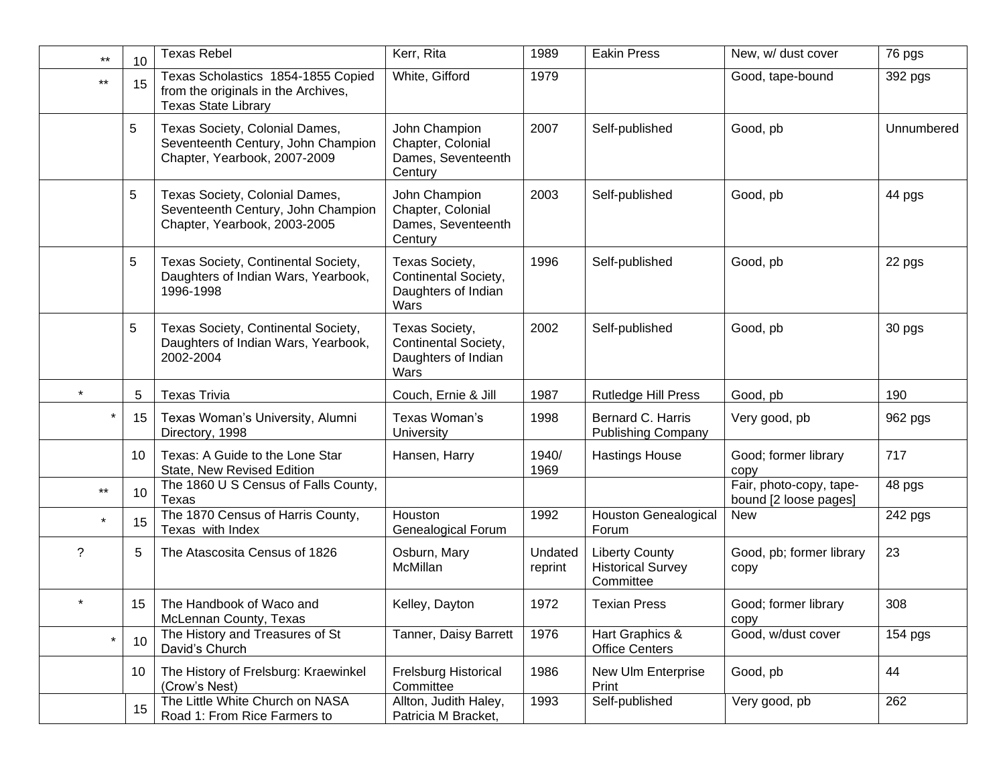| $***$      | 10 | <b>Texas Rebel</b>                                                                                      | Kerr, Rita                                                            | 1989               | <b>Eakin Press</b>                                             | New, w/ dust cover                               | 76 pgs     |
|------------|----|---------------------------------------------------------------------------------------------------------|-----------------------------------------------------------------------|--------------------|----------------------------------------------------------------|--------------------------------------------------|------------|
| $***$      | 15 | Texas Scholastics 1854-1855 Copied<br>from the originals in the Archives,<br><b>Texas State Library</b> | White, Gifford                                                        | 1979               |                                                                | Good, tape-bound                                 | 392 pgs    |
|            | 5  | Texas Society, Colonial Dames,<br>Seventeenth Century, John Champion<br>Chapter, Yearbook, 2007-2009    | John Champion<br>Chapter, Colonial<br>Dames, Seventeenth<br>Century   | 2007               | Self-published                                                 | Good, pb                                         | Unnumbered |
|            | 5  | Texas Society, Colonial Dames,<br>Seventeenth Century, John Champion<br>Chapter, Yearbook, 2003-2005    | John Champion<br>Chapter, Colonial<br>Dames, Seventeenth<br>Century   | 2003               | Self-published                                                 | Good, pb                                         | 44 pgs     |
|            | 5  | Texas Society, Continental Society,<br>Daughters of Indian Wars, Yearbook,<br>1996-1998                 | Texas Society,<br>Continental Society,<br>Daughters of Indian<br>Wars | 1996               | Self-published                                                 | Good, pb                                         | 22 pgs     |
|            | 5  | Texas Society, Continental Society,<br>Daughters of Indian Wars, Yearbook,<br>2002-2004                 | Texas Society,<br>Continental Society,<br>Daughters of Indian<br>Wars | 2002               | Self-published                                                 | Good, pb                                         | 30 pgs     |
| $\star$    | 5  | <b>Texas Trivia</b>                                                                                     | Couch, Ernie & Jill                                                   | 1987               | <b>Rutledge Hill Press</b>                                     | Good, pb                                         | 190        |
| $\ast$     | 15 | Texas Woman's University, Alumni<br>Directory, 1998                                                     | Texas Woman's<br>University                                           | 1998               | Bernard C. Harris<br><b>Publishing Company</b>                 | Very good, pb                                    | 962 pgs    |
|            | 10 | Texas: A Guide to the Lone Star<br>State, New Revised Edition                                           | Hansen, Harry                                                         | 1940/<br>1969      | <b>Hastings House</b>                                          | Good; former library<br>copy                     | 717        |
| $***$      | 10 | The 1860 U S Census of Falls County,<br>Texas                                                           |                                                                       |                    |                                                                | Fair, photo-copy, tape-<br>bound [2 loose pages] | 48 pgs     |
| $\star$    | 15 | The 1870 Census of Harris County,<br>Texas with Index                                                   | Houston<br>Genealogical Forum                                         | 1992               | <b>Houston Genealogical</b><br>Forum                           | <b>New</b>                                       | 242 pgs    |
| $\ddot{?}$ | 5  | The Atascosita Census of 1826                                                                           | Osburn, Mary<br>McMillan                                              | Undated<br>reprint | <b>Liberty County</b><br><b>Historical Survey</b><br>Committee | Good, pb; former library<br>copy                 | 23         |
|            | 15 | The Handbook of Waco and<br>McLennan County, Texas                                                      | Kelley, Dayton                                                        | 1972               | <b>Texian Press</b>                                            | Good; former library<br>copy                     | 308        |
| $\star$    | 10 | The History and Treasures of St<br>David's Church                                                       | Tanner, Daisy Barrett                                                 | 1976               | Hart Graphics &<br><b>Office Centers</b>                       | Good, w/dust cover                               | $154$ pgs  |
|            | 10 | The History of Frelsburg: Kraewinkel<br>(Crow's Nest)                                                   | Frelsburg Historical<br>Committee                                     | 1986               | New Ulm Enterprise<br>Print                                    | Good, pb                                         | 44         |
|            | 15 | The Little White Church on NASA<br>Road 1: From Rice Farmers to                                         | Allton, Judith Haley,<br>Patricia M Bracket,                          | 1993               | Self-published                                                 | Very good, pb                                    | 262        |